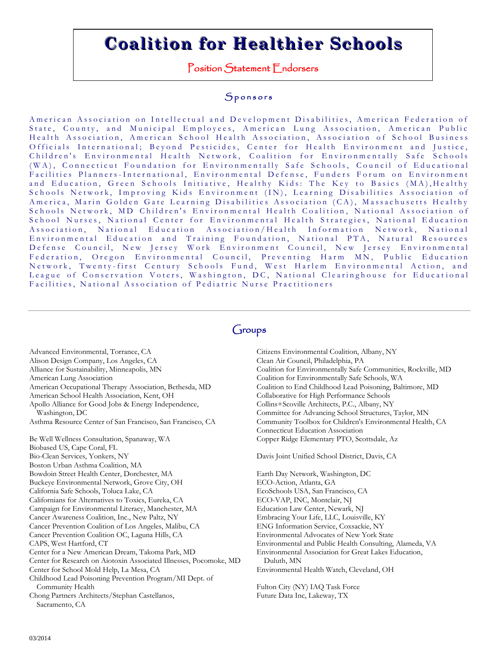# **Coalition for Healthier Schools**

Position Statement Endorsers

#### Sponsors

American Association on Intellectual and Development Disabilities, American Federation of State, County, and Municipal Employees, American Lung Association, American Public Health Association, American School Health Association, Association of School Business Officials International; Beyond Pesticides, Center for Health Environment and Justice, Children's Environmental Health Network, Coalition for Environmentally Safe Schools (WA), Connecticut Foundation for Environmentally Safe Schools, Council of Educational Facilities Planners-International, Environmental Defense, Funders Forum on Environment and Education, Green Schools Initiative, Healthy Kids: The Key to Basics (MA), Healthy Schools Network, Improving Kids Environment (IN), Learning Disabilities Association of America, Marin Golden Gate Learning Disabilities Association (CA), Massachusetts Healthy Schools Network, MD Children's Environmental Health Coalition, National Association of School Nurses, National Center for Environmental Health Strategies, National Education Association, National Education Association/Health Information Network, National Environmental Education and Training Foundation, National PTA, Natural Resources Defense Council, New Jersey Work Environment Council, New Jersey Environmental Federation, Oregon Environmental Council, Preventing Harm MN, Public Education Network, Twenty-first Century Schools Fund, West Harlem Environmental Action, and League of Conservation Voters, Washington, DC, National Clearinghouse for Educational Facilities, National Association of Pediatric Nurse Practitioners

# Groups

Advanced Environmental, Torrance, CA

- Alison Design Company, Los Angeles, CA
- Alliance for Sustainability, Minneapolis, MN

American Lung Association

American Occupational Therapy Association, Bethesda, MD

American School Health Association, Kent, OH

Apollo Alliance for Good Jobs & Energy Independence, Washington, DC

Asthma Resource Center of San Francisco, San Francisco, CA

Be Well Wellness Consultation, Spanaway, WA Biobased US, Cape Coral, FL Bio-Clean Services, Yonkers, NY Boston Urban Asthma Coalition, MA Bowdoin Street Health Center, Dorchester, MA Buckeye Environmental Network, Grove City, OH California Safe Schools, Toluca Lake, CA Californians for Alternatives to Toxics, Eureka, CA Campaign for Environmental Literacy, Manchester, MA Cancer Awareness Coalition, Inc., New Paltz, NY Cancer Prevention Coalition of Los Angeles, Malibu, CA Cancer Prevention Coalition OC, Laguna Hills, CA CAPS, West Hartford, CT Center for a New American Dream, Takoma Park, MD Center for Research on Aiotoxin Associated Illnesses, Pocomoke, MD Center for School Mold Help, La Mesa, CA Childhood Lead Poisoning Prevention Program/MI Dept. of Community Health Chong Partners Architects/Stephan Castellanos, Sacramento, CA

Citizens Environmental Coalition, Albany, NY Clean Air Council, Philadelphia, PA Coalition for Environmentally Safe Communities, Rockville, MD Coalition for Environmentally Safe Schools, WA Coalition to End Childhood Lead Poisoning, Baltimore, MD Collaborative for High Performance Schools Collins+Scoville Architects, P.C., Albany, NY Committee for Advancing School Structures, Taylor, MN Community Toolbox for Children's Environmental Health, CA Connecticut Education Association Copper Ridge Elementary PTO, Scottsdale, Az

Davis Joint Unified School District, Davis, CA

Earth Day Network, Washington, DC ECO-Action, Atlanta, GA EcoSchools USA, San Francisco, CA ECO-VAP, INC, Montclair, NJ Education Law Center, Newark, NJ Embracing Your Life, LLC, Louisville, KY ENG Information Service, Coxsackie, NY Environmental Advocates of New York State Environmental and Public Health Consulting, Alameda, VA Environmental Association for Great Lakes Education, Duluth, MN Environmental Health Watch, Cleveland, OH Fulton City (NY) IAQ Task Force

Future Data Inc, Lakeway, TX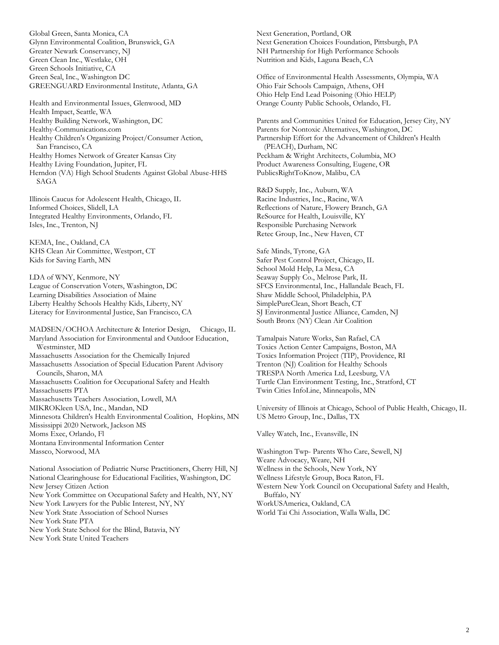Global Green, Santa Monica, CA Glynn Environmental Coalition, Brunswick, GA Greater Newark Conservancy, NJ Green Clean Inc., Westlake, OH Green Schools Initiative, CA Green Seal, Inc., Washington DC GREENGUARD Environmental Institute, Atlanta, GA

Health and Environmental Issues, Glenwood, MD Health Impact, Seattle, WA Healthy Building Network, Washington, DC Healthy-Communications.com Healthy Children's Organizing Project/Consumer Action, San Francisco, CA Healthy Homes Network of Greater Kansas City Healthy Living Foundation, Jupiter, FL Herndon (VA) High School Students Against Global Abuse-HHS SAGA

Illinois Caucus for Adolescent Health, Chicago, IL Informed Choices, Slidell, LA Integrated Healthy Environments, Orlando, FL Isles, Inc., Trenton, NJ

KEMA, Inc., Oakland, CA KHS Clean Air Committee, Westport, CT Kids for Saving Earth, MN

LDA of WNY, Kenmore, NY League of Conservation Voters, Washington, DC Learning Disabilities Association of Maine Liberty Healthy Schools Healthy Kids, Liberty, NY Literacy for Environmental Justice, San Francisco, CA

MADSEN/OCHOA Architecture & Interior Design, Chicago, IL Maryland Association for Environmental and Outdoor Education, Westminster, MD Massachusetts Association for the Chemically Injured Massachusetts Association of Special Education Parent Advisory Councils, Sharon, MA Massachusetts Coalition for Occupational Safety and Health Massachusetts PTA Massachusetts Teachers Association, Lowell, MA MIKROKleen USA, Inc., Mandan, ND Minnesota Children's Health Environmental Coalition, Hopkins, MN Mississippi 2020 Network, Jackson MS Moms Exec, Orlando, Fl Montana Environmental Information Center Massco, Norwood, MA

National Association of Pediatric Nurse Practitioners, Cherry Hill, NJ National Clearinghouse for Educational Facilities, Washington, DC New Jersey Citizen Action New York Committee on Occupational Safety and Health, NY, NY New York Lawyers for the Public Interest, NY, NY New York State Association of School Nurses New York State PTA New York State School for the Blind, Batavia, NY New York State United Teachers

Next Generation, Portland, OR Next Generation Choices Foundation, Pittsburgh, PA NH Partnership for High Performance Schools Nutrition and Kids, Laguna Beach, CA

Office of Environmental Health Assessments, Olympia, WA Ohio Fair Schools Campaign, Athens, OH Ohio Help End Lead Poisoning (Ohio HELP) Orange County Public Schools, Orlando, FL

Parents and Communities United for Education, Jersey City, NY Parents for Nontoxic Alternatives, Washington, DC Partnership Effort for the Advancement of Children's Health (PEACH), Durham, NC Peckham & Wright Architects, Columbia, MO Product Awareness Consulting, Eugene, OR PublicsRightToKnow, Malibu, CA

R&D Supply, Inc., Auburn, WA Racine Industries, Inc., Racine, WA Reflections of Nature, Flowery Branch, GA ReSource for Health, Louisville, KY Responsible Purchasing Network Retec Group, Inc., New Haven, CT

Safe Minds, Tyrone, GA Safer Pest Control Project, Chicago, IL School Mold Help, La Mesa, CA Seaway Supply Co., Melrose Park, IL SFCS Environmental, Inc., Hallandale Beach, FL Shaw Middle School, Philadelphia, PA SimplePureClean, Short Beach, CT SJ Environmental Justice Alliance, Camden, NJ South Bronx (NY) Clean Air Coalition

Tamalpais Nature Works, San Rafael, CA Toxics Action Center Campaigns, Boston, MA Toxics Information Project (TIP), Providence, RI Trenton (NJ) Coalition for Healthy Schools TRESPA North America Ltd, Leesburg, VA Turtle Clan Environment Testing, Inc., Stratford, CT Twin Cities InfoLine, Minneapolis, MN

University of Illinois at Chicago, School of Public Health, Chicago, IL US Metro Group, Inc., Dallas, TX

Valley Watch, Inc., Evansville, IN

Washington Twp- Parents Who Care, Sewell, NJ Weare Advocacy, Weare, NH Wellness in the Schools, New York, NY Wellness Lifestyle Group, Boca Raton, FL Western New York Council on Occupational Safety and Health, Buffalo, NY WorkUSAmerica, Oakland, CA World Tai Chi Association, Walla Walla, DC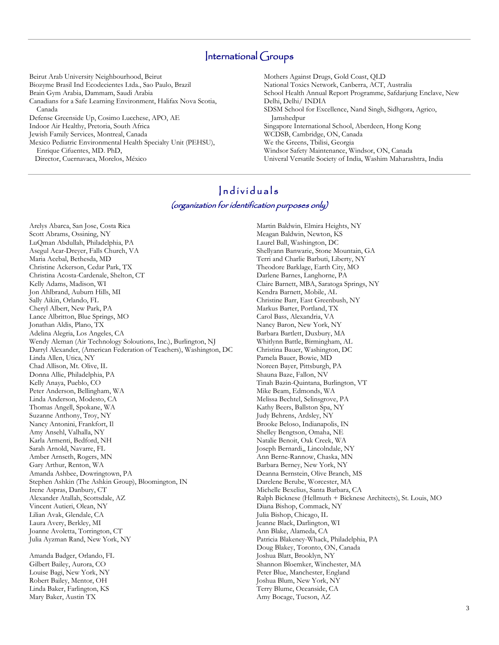## International Groups

Beirut Arab University Neighbourhood, Beirut Biozyme Brasil Ind Ecodecientes Ltda., Sao Paulo, Brazil Brain Gym Arabia, Dammam, Saudi Arabia Canadians for a Safe Learning Environment, Halifax Nova Scotia, Canada Defense Greenside Up, Cosimo Lucchese, APO, AE Indoor Air Healthy, Pretoria, South Africa Jewish Family Services, Montreal, Canada Mexico Pediatric Environmental Health Specialty Unit (PEHSU), Enrique Cifuentes, MD. PhD,

Director, Cuernavaca, Morelos, México

Mothers Against Drugs, Gold Coast, QLD National Toxics Network, Canberra, ACT, Australia School Health Annual Report Programme, Safdarjung Enclave, New Delhi, Delhi/ INDIA SDSM School for Excellence, Nand Singh, Sidhgora, Agrico, Jamshedpur Singapore International School, Aberdeen, Hong Kong WCDSB, Cambridge, ON, Canada We the Greens, Tbilisi, Georgia Windsor Safety Maintenance, Windsor, ON, Canada Univeral Versatile Society of India, Washim Maharashtra, India

## Individuals (organization for identification purposes only)

Arelys Abarca, San Jose, Costa Rica Scott Abrams, Ossining, NY LuQman Abdullah, Philadelphia, PA Asegul Acar-Dreyer, Falls Church, VA Maria Acebal, Bethesda, MD Christine Ackerson, Cedar Park, TX Christina Acosta-Cardenale, Shelton, CT Kelly Adams, Madison, WI Jon Ahlbrand, Auburn Hills, MI Sally Aikin, Orlando, FL Cheryl Albert, New Park, PA Lance Albritton, Blue Springs, MO Jonathan Aldis, Plano, TX Adelina Alegria, Los Angeles, CA Wendy Aleman (Air Technology Soloutions, Inc.), Burlington, NJ Darryl Alexander, (American Federation of Teachers), Washington, DC Linda Allen, Utica, NY Chad Allison, Mt. Olive, IL Donna Allie, Philadelphia, PA Kelly Anaya, Pueblo, CO Peter Anderson, Bellingham, WA Linda Anderson, Modesto, CA Thomas Angell, Spokane, WA Suzanne Anthony, Troy, NY Nancy Antonini, Frankfort, Il Amy Ansehl, Valhalla, NY Karla Armenti, Bedford, NH Sarah Arnold, Navarre, FL Amber Arnseth, Rogers, MN Gary Arthur, Renton, WA Amanda Ashbee, Dowringtown, PA Stephen Ashkin (The Ashkin Group), Bloomington, IN Irene Aspras, Danbury, CT Alexander Atallah, Scottsdale, AZ Vincent Autieri, Olean, NY Lilian Avak, Glendale, CA Laura Avery, Berkley, MI Joanne Avoletta, Torrington, CT Julia Ayzman Rand, New York, NY Amanda Badger, Orlando, FL

Gilbert Bailey, Aurora, CO Louise Bagi, New York, NY Robert Bailey, Mentor, OH Linda Baker, Farlington, KS Mary Baker, Austin TX

Martin Baldwin, Elmira Heights, NY Meagan Baldwin, Newton, KS Laurel Ball, Washington, DC Shellyann Banwarie, Stone Mountain, GA Terri and Charlie Barbuti, Liberty, NY Theodore Barklage, Earth City, MO Darlene Barnes, Langhorne, PA Claire Barnett, MBA, Saratoga Springs, NY Kendra Barnett, Mobile, AL Christine Barr, East Greenbush, NY Markus Barter, Portland, TX Carol Bass, Alexandria, VA Nancy Baron, New York, NY Barbara Bartlett, Duxbury, MA Whitlynn Battle, Birmingham, AL Christina Bauer, Washington, DC Pamela Bauer, Bowie, MD Noreen Bayer, Pittsburgh, PA Shauna Baze, Fallon, NV Tinah Bazin-Quintana, Burlington, VT Mike Beam, Edmonds, WA Melissa Bechtel, Selinsgrove, PA Kathy Beers, Ballston Spa, NY Judy Behrens, Ardsley, NY Brooke Beloso, Indianapolis, IN Shelley Bengtson, Omaha, NE Natalie Benoit, Oak Creek, WA Joseph Bernardi,, Lincolndale, NY Ann Berne-Rannow, Chaska, MN Barbara Berney, New York, NY Deanna Bernstein, Olive Branch, MS Darelene Berube, Worcester, MA Michelle Bexelius, Santa Barbara, CA Ralph Bicknese (Hellmuth + Bicknese Architects), St. Louis, MO Diana Bishop, Commack, NY Julia Bishop, Chicago, IL Jeanne Black, Darlington, WI Ann Blake, Alameda, CA Patricia Blakeney-Whack, Philadelphia, PA Doug Blakey, Toronto, ON, Canada Joshua Blatt, Brooklyn, NY Shannon Bloemker, Winchester, MA Peter Blue, Manchester, England Joshua Blum, New York, NY Terry Blume, Oceanside, CA Amy Bocage, Tucson, AZ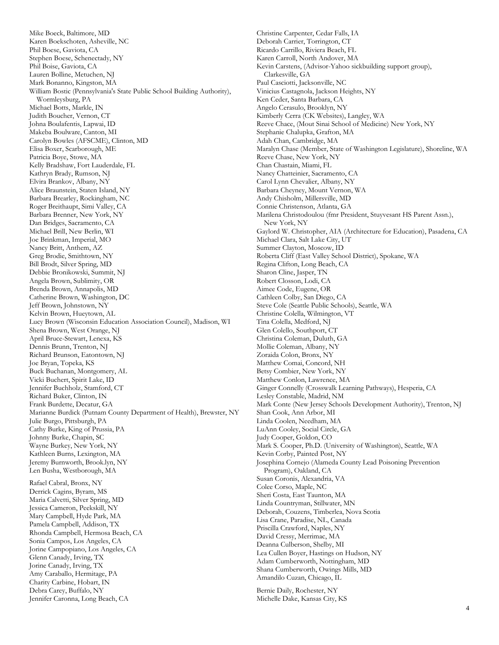Karen Boekschoten, Asheville, NC Phil Boese, Gaviota, CA Stephen Boese, Schenectady, NY Phil Boise, Gaviota, CA Lauren Bolline, Metuchen, NJ Mark Bonanno, Kingston, MA William Bostic (Pennsylvania's State Public School Building Authority), Wormleysburg, PA Michael Botts, Markle, IN Judith Boucher, Vernon, CT Johna Boulafentis, Lapwai, ID Makeba Boulware, Canton, MI Carolyn Bowles (AFSCME), Clinton, MD Elisa Boxer, Scarborough, ME Patricia Boye, Stowe, MA Kelly Bradshaw, Fort Lauderdale, FL Kathryn Brady, Rumson, NJ Elvira Brankov, Albany, NY Alice Braunstein, Staten Island, NY Barbara Brearley, Rockingham, NC Roger Breithaupt, Simi Valley, CA Barbara Brenner, New York, NY Dan Bridges, Sacramento, CA Michael Brill, New Berlin, WI Joe Brinkman, Imperial, MO Nancy Britt, Anthem, AZ Greg Brodie, Smithtown, NY Bill Brodt, Silver Spring, MD Debbie Bronikowski, Summit, NJ Angela Brown, Sublimity, OR Brenda Brown, Annapolis, MD Catherine Brown, Washington, DC Jeff Brown, Johnstown, NY Kelvin Brown, Hueytown, AL Lucy Brown (Wisconsin Education Association Council), Madison, WI Shena Brown, West Orange, NJ April Bruce-Stewart, Lenexa, KS Dennis Brunn, Trenton, NJ Richard Brunson, Eatontown, NJ Joe Bryan, Topeka, KS Buck Buchanan, Montgomery, AL Vicki Buchert, Spirit Lake, ID Jennifer Buchholz, Stamford, CT Richard Buker, Clinton, IN Frank Burdette, Decatur, GA Marianne Burdick (Putnam County Department of Health), Brewster, NY Julie Burgo, Pittsburgh, PA Cathy Burke, King of Prussia, PA Johnny Burke, Chapin, SC Wayne Burkey, New York, NY Kathleen Burns, Lexington, MA Jeremy Burnworth, Brook.lyn, NY Len Busha, Westborough, MA Rafael Cabral, Bronx, NY Derrick Cagins, Byram, MS Maria Calvetti, Silver Spring, MD Jessica Cameron, Peekskill, NY Mary Campbell, Hyde Park, MA Pamela Campbell, Addison, TX Rhonda Campbell, Hermosa Beach, CA Sonia Campos, Los Angeles, CA Jorine Campopiano, Los Angeles, CA Glenn Canady, Irving, TX Jorine Canady, Irving, TX Amy Caraballo, Hermitage, PA Charity Carbine, Hobart, IN Debra Carey, Buffalo, NY Jennifer Caronna, Long Beach, CA

Mike Boeck, Baltimore, MD

Christine Carpenter, Cedar Falls, IA Deborah Carrier, Torrington, CT Ricardo Carrillo, Riviera Beach, FL Karen Carroll, North Andover, MA Kevin Carstens, (Advisor-Yahoo sickbuilding support group), Clarkesville, GA Paul Casciotti, Jacksonville, NC Vinicius Castagnola, Jackson Heights, NY Ken Ceder, Santa Barbara, CA Angelo Cerasulo, Brooklyn, NY Kimberly Cerra (CK Websites), Langley, WA Reeve Chace, (Mout Sinai School of Medicine) New York, NY Stephanie Chalupka, Grafton, MA Adah Chan, Cambridge, MA Maralyn Chase (Member, State of Washington Legislature), Shoreline, WA Reeve Chase, New York, NY Chan Chastain, Miami, FL Nancy Chatteinier, Sacramento, CA Carol Lynn Chevalier, Albany, NY Barbara Cheyney, Mount Vernon, WA Andy Chisholm, Millersville, MD Connie Christenson, Atlanta, GA Marilena Christodoulou (fmr President, Stuyvesant HS Parent Assn.), New York, NY Gaylord W. Christopher, AIA (Architecture for Education), Pasadena, CA Michael Clara, Salt Lake City, UT Summer Clayton, Moscow, ID Roberta Cliff (East Valley School District), Spokane, WA Regina Clifton, Long Beach, CA Sharon Cline, Jasper, TN Robert Closson, Lodi, CA Aimee Code, Eugene, OR Cathleen Colby, San Diego, CA Steve Cole (Seattle Public Schools), Seattle, WA Christine Colella, Wilmington, VT Tina Colella, Medford, NJ Glen Colello, Southport, CT Christina Coleman, Duluth, GA Mollie Coleman, Albany, NY Zoraida Colon, Bronx, NY Matthew Comai, Concord, NH Betsy Combier, New York, NY Matthew Conlon, Lawrence, MA Ginger Connelly (Crosswalk Learning Pathways), Hesperia, CA Lesley Constable, Madrid, NM Mark Conte (New Jersey Schools Development Authority), Trenton, NJ Shan Cook, Ann Arbor, MI Linda Coolen, Needham, MA LuAnn Cooley, Social Circle, GA Judy Cooper, Goldon, CO Mark S. Cooper, Ph.D. (University of Washington), Seattle, WA Kevin Corby, Painted Post, NY Josephina Cornejo (Alameda County Lead Poisoning Prevention Program), Oakland, CA Susan Coronis, Alexandria, VA Colee Corso, Maple, NC Sheri Costa, East Taunton, MA Linda Countryman, Stillwater, MN Deborah, Couzens, Timberlea, Nova Scotia Lisa Crane, Paradise, NL, Canada Priscilla Crawford, Naples, NY David Cressy, Merrimac, MA Deanna Culberson, Shelby, MI Lea Cullen Boyer, Hastings on Hudson, NY Adam Cumberworth, Nottingham, MD Shana Cumberworth, Owings Mills, MD Amandilo Cuzan, Chicago, IL Bernie Daily, Rochester, NY

Michelle Dake, Kansas City, KS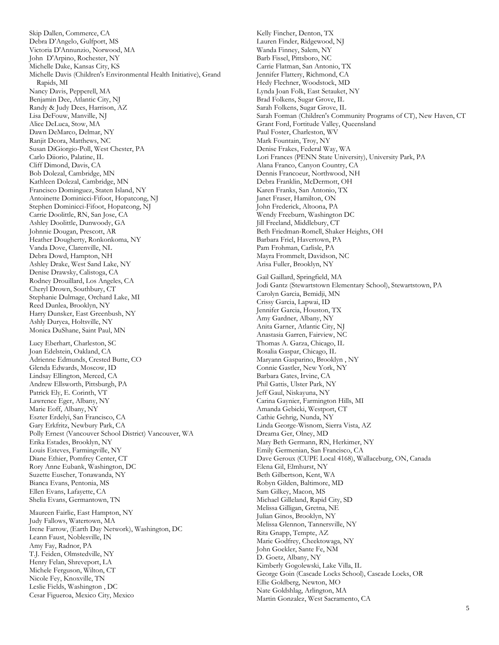Skip Dallen, Commerce, CA Debra D'Angelo, Gulfport, MS Victoria D'Annunzio, Norwood, MA John D'Arpino, Rochester, NY Michelle Dake, Kansas City, KS Michelle Davis (Children's Environmental Health Initiative), Grand Rapids, MI Nancy Davis, Pepperell, MA Benjamin Dee, Atlantic City, NJ Randy & Judy Dees, Harrison, AZ Lisa DeFouw, Manville, NJ Alice DeLuca, Stow, MA Dawn DeMarco, Delmar, NY Ranjit Deora, Matthews, NC Susan DiGiorgio-Poll, West Chester, PA Carlo Diiorio, Palatine, IL Cliff Dimond, Davis, CA Bob Dolezal, Cambridge, MN Kathleen Dolezal, Cambridge, MN Francisco Dominguez, Staten Island, NY Antoinette Dominicci-Fifoot, Hopatcong, NJ Stephen Dominicci-Fifoot, Hopatcong, NJ Carrie Doolittle, RN, San Jose, CA Ashley Doolittle, Dunwoody, GA Johnnie Dougan, Prescott, AR Heather Dougherty, Ronkonkoma, NY Vanda Dove, Clarenville, NL Debra Dowd, Hampton, NH Ashley Drake, West Sand Lake, NY Denise Drawsky, Calistoga, CA Rodney Drouillard, Los Angeles, CA Cheryl Drown, Southbury, CT Stephanie Dulmage, Orchard Lake, MI Reed Dunlea, Brooklyn, NY Harry Dunsker, East Greenbush, NY Ashly Duryea, Holtsville, NY Monica DuShane, Saint Paul, MN Lucy Eberhart, Charleston, SC Joan Edelstein, Oakland, CA Adrienne Edmunds, Crested Butte, CO Glenda Edwards, Moscow, ID Lindsay Ellington, Merced, CA Andrew Ellsworth, Pittsburgh, PA Patrick Ely, E. Corinth, VT Lawrence Eger, Albany, NY Marie Eoff, Albany, NY Eszter Erdelyi, San Francisco, CA Gary Erkfritz, Newbury Park, CA Polly Ernest (Vancouver School District) Vancouver, WA Erika Estades, Brooklyn, NY Louis Esteves, Farmingville, NY Diane Ethier, Pomfrey Center, CT Rory Anne Eubank, Washington, DC Suzette Euscher, Tonawanda, NY Bianca Evans, Pentonia, MS Ellen Evans, Lafayette, CA Shelia Evans, Germantown, TN Maureen Fairlie, East Hampton, NY Judy Fallows, Watertown, MA Irene Farrow, (Earth Day Network), Washington, DC Leann Faust, Noblesville, IN Amy Fay, Radnor, PA T.J. Feiden, Olmstedville, NY Henry Felan, Shreveport, LA Michele Ferguson, Wilton, CT Nicole Fey, Knoxville, TN Leslie Fields, Washington , DC Cesar Figueroa, Mexico City, Mexico

Kelly Fincher, Denton, TX Lauren Finder, Ridgewood, NJ Wanda Finney, Salem, NY Barb Fissel, Pittsboro, NC Carrie Flatman, San Antonio, TX Jennifer Flattery, Richmond, CA Hedy Flechner, Woodstock, MD Lynda Joan Folk, East Setauket, NY Brad Folkens, Sugar Grove, IL Sarah Folkens, Sugar Grove, IL Sarah Forman (Children's Community Programs of CT), New Haven, CT Grant Ford, Fortitude Valley, Queensland Paul Foster, Charleston, WV Mark Fountain, Troy, NY Denise Frakes, Federal Way, WA Lori Frances (PENN State University), University Park, PA Alana Franco, Canyon Country, CA Dennis Francoeur, Northwood, NH Debra Franklin, McDermott, OH Karen Franks, San Antonio, TX Janet Fraser, Hamilton, ON John Frederick, Altoona, PA Wendy Freeburn, Washington DC Jill Freeland, Middlebury, CT Beth Friedman-Romell, Shaker Heights, OH Barbara Friel, Havertown, PA Pam Frohman, Carlisle, PA Mayra Frommelt, Davidson, NC Arisa Fuller, Brooklyn, NY Gail Gaillard, Springfield, MA Jodi Gantz (Stewartstown Elementary School), Stewartstown, PA Carolyn Garcia, Bemidji, MN Crissy Garcia, Lapwai, ID Jennifer Garcia, Houston, TX Amy Gardner, Albany, NY Anita Garner, Atlantic City, NJ Anastasia Garren, Fairview, NC Thomas A. Garza, Chicago, IL Rosalia Gaspar, Chicago, IL Maryann Gasparino, Brooklyn , NY Connie Gastler, New York, NY Barbara Gates, Irvine, CA Phil Gattis, Ulster Park, NY Jeff Gaul, Niskayuna, NY Carina Gaynier, Farmington Hills, MI Amanda Gebicki, Westport, CT Cathie Gehrig, Nunda, NY Linda George-Wisnom, Sierra Vista, AZ Dreama Ger, Olney, MD Mary Beth Germann, RN, Herkimer, NY Emily Germenian, San Francisco, CA Dave Geroux (CUPE Local 4168), Wallaceburg, ON, Canada Elena Gil, Elmhurst, NY Beth Gilbertson, Kent, WA Robyn Gilden, Baltimore, MD Sam Gilkey, Macon, MS Michael Gilleland, Rapid City, SD Melissa Gilligan, Gretna, NE Julian Ginos, Brooklyn, NY Melissa Glennon, Tannersville, NY Rita Gnapp, Tempte, AZ Marie Godfrey, Cheektowaga, NY John Goekler, Sante Fe, NM D. Goetz, Albany, NY Kimberly Gogolewski, Lake Villa, IL George Goin (Cascade Locks School), Cascade Locks, OR Ellie Goldberg, Newton, MO Nate Goldshlag, Arlington, MA Martin Gonzalez, West Sacramento, CA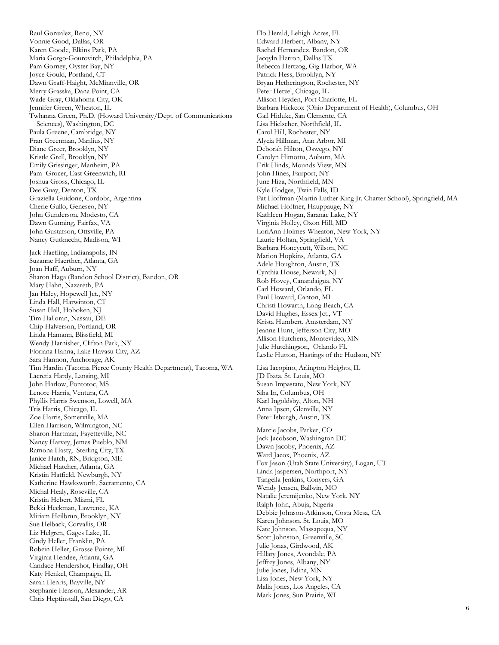Raul Gonzalez, Reno, NV Vonnie Good, Dallas, OR Karen Goode, Elkins Park, PA Maria Gorgo-Gourovitch, Philadelphia, PA Pam Gorney, Oyster Bay, NY Joyce Gould, Portland, CT Dawn Graff-Haight, McMinnville, OR Merry Grasska, Dana Point, CA Wade Gray, Oklahoma City, OK Jennifer Green, Wheaton, IL Twhanna Green, Ph.D. (Howard University/Dept. of Communications Sciences), Washington, DC Paula Greene, Cambridge, NY Fran Greenman, Manlius, NY Diane Greer, Brooklyn, NY Kristle Grell, Brooklyn, NY Emily Grissinger, Manheim, PA Pam Grocer, East Greenwich, RI Joshua Gross, Chicago, IL Dee Guay, Denton, TX Graziella Guidone, Cordoba, Argentina Cherie Gullo, Geneseo, NY John Gunderson, Modesto, CA Dawn Gunning, Fairfax, VA John Gustafson, Ottsville, PA Nancy Gutknecht, Madison, WI Jack Haefling, Indianapolis, IN Suzanne Haerther, Atlanta, GA Joan Haff, Auburn, NY Sharon Haga (Bandon School District), Bandon, OR Mary Hahn, Nazareth, PA Jan Haley, Hopewell Jct., NY Linda Hall, Harwinton, CT Susan Hall, Hoboken, NJ Tim Halloran, Nassau, DE Chip Halverson, Portland, OR Linda Hamann, Blissfield, MI Wendy Harnisher, Clifton Park, NY Floriana Hanna, Lake Havasu City, AZ Sara Hannon, Anchorage, AK Tim Hardin (Tacoma Pierce County Health Department), Tacoma, WA Lacretia Hardy, Lansing, MI John Harlow, Pontotoc, MS Lenore Harris, Ventura, CA Phyllis Harris Swenson, Lowell, MA Tris Harris, Chicago, IL Zoe Harris, Somerville, MA Ellen Harrison, Wilmington, NC Sharon Hartman, Fayetteville, NC Nancy Harvey, Jemes Pueblo, NM Ramona Hasty, Sterling City, TX Janice Hatch, RN, Bridgton, ME Michael Hatcher, Atlanta, GA Kristin Hatfield, Newburgh, NY Katherine Hawksworth, Sacramento, CA Michal Healy, Roseville, CA Kristin Hebert, Miami, FL Bekki Heckman, Lawrence, KA Miriam Heilbrun, Brooklyn, NY Sue Helback, Corvallis, OR Liz Helgren, Gages Lake, IL Cindy Heller, Franklin, PA Robein Heller, Grosse Pointe, MI Virginia Hendee, Atlanta, GA Candace Hendershot, Findlay, OH Katy Henkel, Champaign, IL Sarah Henris, Bayville, NY Stephanie Henson, Alexander, AR Chris Heptinstall, San Diego, CA

Flo Herald, Lehigh Acres, FL Edward Herbert, Albany, NY Rachel Hernandez, Bandon, OR Jacqyln Herron, Dallas TX Rebecca Hertzog, Gig Harbor, WA Patrick Hess, Brooklyn, NY Bryan Hetherington, Rochester, NY Peter Hetzel, Chicago, IL Allison Heyden, Port Charlotte, FL Barbara Hickcox (Ohio Department of Health), Columbus, OH Gail Hiduke, San Clemente, CA Lisa Hielscher, Northfield, IL Carol Hill, Rochester, NY Alycia Hillman, Ann Arbor, MI Deborah Hilton, Oswego, NY Carolyn Himottu, Auburn, MA Erik Hinds, Mounds View, MN John Hines, Fairport, NY June Hiza, Northfield, MN Kyle Hodges, Twin Falls, ID Pat Hoffman (Martin Luther King Jr. Charter School), Springfield, MA Michael Hoffner, Hauppauge, NY Kathleen Hogan, Saranac Lake, NY Virginia Holley, Oxon Hill, MD LoriAnn Holmes-Wheaton, New York, NY Laurie Holtan, Springfield, VA Barbara Honeycutt, Wilson, NC Marion Hopkins, Atlanta, GA Adele Houghton, Austin, TX Cynthia House, Newark, NJ Rob Hovey, Canandaigua, NY Carl Howard, Orlando, FL Paul Howard, Canton, MI Christi Howarth, Long Beach, CA David Hughes, Essex Jct., VT Krista Humbert, Amsterdam, NY Jeanne Hunt, Jefferson City, MO Allison Hutchens, Montevideo, MN Julie Hutchingson, Orlando FL Leslie Hutton, Hastings of the Hudson, NY Lisa Iacopino, Arlington Heights, IL JD Ibata, St. Louis, MO Susan Impastato, New York, NY Siha In, Columbus, OH Karl Ingoldsby, Alton, NH Anna Ipsen, Glenville, NY Peter Isburgh, Austin, TX Marcie Jacobs, Parker, CO Jack Jacobson, Washington DC Dawn Jacoby, Phoenix, AZ Ward Jacox, Phoenix, AZ Fox Jason (Utah State University), Logan, UT Linda Jaspersen, Northport, NY Tangella Jenkins, Conyers, GA Wendy Jensen, Ballwin, MO Natalie Jeremijenko, New York, NY Ralph John, Abuja, Nigeria Debbie Johnson-Atkinson, Costa Mesa, CA Karen Johnson, St. Louis, MO Kate Johnson, Massapequa, NY Scott Johnston, Greenville, SC Julie Jonas, Girdwood, AK Hillary Jones, Avondale, PA Jeffrey Jones, Albany, NY Julie Jones, Edina, MN Lisa Jones, New York, NY Malia Jones, Los Angeles, CA Mark Jones, Sun Prairie, WI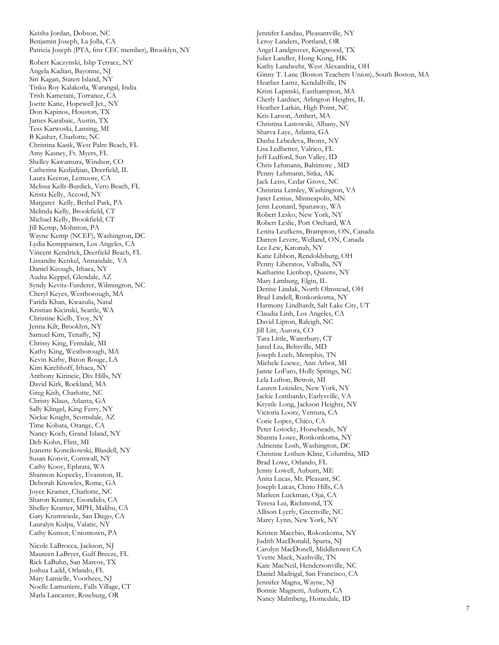Keisha Jordan, Dobson, NC Benjamin Joseph, La Jolla, CA Patricia Joseph (PTA, fmr CEC member), Brooklyn, NY

Robert Kaczynski, Islip Terrace, NY Angela Kadian, Bayonne, NJ Siri Kagan, Staten Island, NY Tinku Roy Kalakotla, Warangal, India Trish Kametani, Torrance, CA Joette Kane, Hopewell Jct., NY Don Kapinos, Houston, TX James Karabaic, Austin, TX Tess Karwoski, Lansing, MI B Kasher, Charlotte, NC Christina Kasik, West Palm Beach, FL Amy Kasney, Ft. Myers, FL Shelley Kawamura, Windsor, CO Catherina Kedjidjian, Deerfield, IL Laura Keeton, Lemoore, CA Melissa Kells -Burdick, Vero Beach, FL Krista Kelly, Accord, NY Margaret Kelly, Bethel Park, PA Melinda Kelly, Brookfield, CT Michael Kelly, Brookfield, CT Jill Kemp, Mohnton, PA Wayne Kemp (NCEF), Washington, DC Lydia Kemppainen, Los Angeles, CA Vincent Kendrick, Deerfield Beach, FL Lissandre Kenkel, Annandale, VA Daniel Keough, Ithaca, NY Audra Keppel, Glendale, AZ Syndy Kevitz -Furderer, Wilmington, NC Cheryl Keyes, Westborough, MA Farida Khan, Kwazulu, Natal Kristian Kicinski, Seattle, WA Christine Kielb, Troy, NY Jenna Kilt, Brooklyn, NY Samuel Kim, Tenafly, NJ Chrissy King, Ferndale, MI Kathy King, Westborough, MA Kevin Kirby, Baton Rouge, LA Kim Kirchhoff, Ithaca, NY Anthony Kirincic, Dix Hills, NY David Kirk, Rockland, MA Greg Kish, Charlotte, NC Christy Klaus, Atlanta, GA Sally Klingel, King Ferry, NY Nickie Knight, Scottsdale, AZ Time Kobata, Orange, CA Nancy Koch, Grand Island, NY Deb Kohn, Flint, MI Jeanette Koncikowski, Blasdell, NY Susan Konvit, Cornwall, NY Cathy Kooy, Ephrata, WA Shannon Kopecky, Evanston, IL Deborah Knowles, Rome, GA Joyce Kramer, Charlotte, NC Sharon Kramer, Esondido, CA Shelley Kramer, MPH, Malibu, CA Gary Krumwiede, San Diego, CA Lauralyn Kulpa, Valatie, NY Cathy Kumor, Uniontown, PA

Nicole LaBrocca, Jackson, NJ Maureen LaBryer, Gulf Breeze, FL Rick LaBuhn, San Marcos, TX Joshua Ladd, Orlando, FL Mary Lamielle, Voorhees, NJ Noelle Lamuniere, Falls Village, CT Marla Lancaster, Roseburg, OR

Jennifer Landau, Pleasantville, NY Leroy Landers, Portland, OR Angel Landgrover, Kingwood, TX Juliet Landler, Hong Kong, HK Kathy Landwehr, West Alexandria, OH Ginny T. Lane (Boston Teachers Union), South Boston, MA Heather Lantz, Kendallville, IN Kristi Lapinski, Easthampton, MA Cherly Lardner, Arlington Heights, IL Heather Larkin, High Point, NC Kris Larson, Amhert, MA Christina Lastowski, Albany, NY Sharva Laye, Atlanta, GA Dasha Lebedeva, Bronx, NY Lisa Ledbetter, Valrico, FL Jeff Ledford, Sun Valley, ID Chris Lehmann, Baltimore , MD Penny Lehmann, Sitka, AK Jack Leiss, Cedar Grove, NC Christina Lemley, Washington, VA Janet Lenius, Minneapolis, MN Jenn Leonard, Spanaway, WA Robert Lesko, New York, NY Robert Leslie, Port Orchard, WA Lenita Leufkens, Brampton, ON, Canada Darren Levere, Welland, ON, Canada Lee Lew, Katonah, NY Katie Libbon, Rendoldsburg, OH Penny Liberatos, Valhalla, NY Katharine Lienhop, Queens, NY Mary Limburg, Elgin, IL Denise Lindak, North Olmstead, OH Brad Lindell, Ronkonkoma, NY Harmony Lindhardt, Salt Lake City, UT Claudia Linh, Los Angeles, CA David Lipton, Raleigh, NC Jill Litt, Aurora, CO Tara Little, Waterbury, CT Jared Liu, Beltsville, MD Joseph Loeb, Memphis, TN Michele Loewe, Ann Arbor, MI Janne LoFaro, Holly Springs, NC Lela Lofton, Betroit, MI Lauren Loizides, New York, NY Jackie Lombardo, Earlysville, VA Krystle Long, Jackson Heights, NY Victoria Loorz, Ventura, CA Corie Lopez, Chico, CA Peter Lotocky, Horseheads, NY Shanna Losee, Ronkonkoma, NY Adrienne Losh, Washington, DC Christine Lothen -Kline, Columbia, MD Brad Lowe, Orlando, FL Jenny Lowell, Auburn, ME Anita Lucas, Mt. Pleasant, SC Joseph Lucas, Chino Hills, CA Marleen Luckman, Ojai, CA Teresa Lui, Richmond, TX Allison Lyerly, Greenville, NC Marcy Lynn, New York, NY

Kristen Macchio, Rokonkoma, NY Judith MacDonald, Sparta, NJ Carolyn MacDonell, Middletown CA Yvette Mack, Nashville, TN Kate MacNeil, Hendersonville, NC Daniel Madrigal, San Francisco, CA Jennifer Magna, Wayne, NJ Bonnie Magnetti, Auburn, CA Nancy Malmberg, Homedale, ID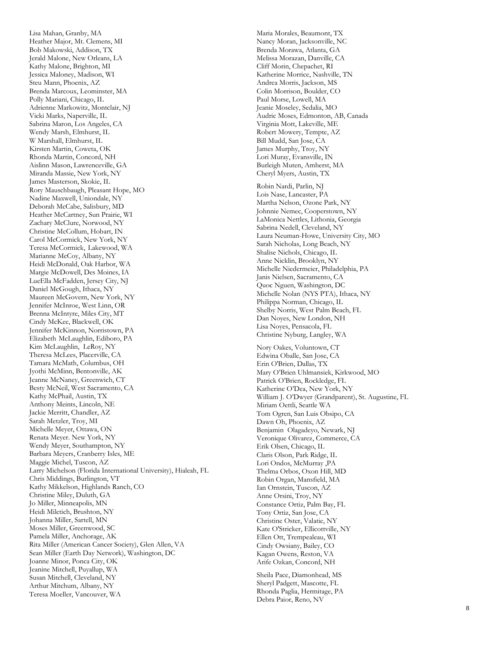Lisa Mahan, Granby, MA Heather Major, Mt. Clemens, MI Bob Makowski, Addison, T X Jerald Malone, New Orleans, LA Kathy Malone, Brighton, MI Jessica Maloney, Madison, WI Steu Mann, Phoenix, AZ Brenda Marcoux, Leominster, MA Polly Mariani, Chicago, IL Adrienne Markowitz, Montclair, NJ Vicki Marks, Naperville, IL Sabrina Maron, Los Angeles, CA Wendy Marsh, Elmhurst, IL W Marshall, Elmhurst, IL Kirsten Martin, Coweta, OK Rhonda Martin, Concord, NH Aislinn Mason, Lawrenceville, GA Miranda Massie, New York, NY James Masterson, Skokie, IL Rory Mauschbaugh, Pleasant Hope, MO Nadine Maxwell, Uniondale, NY Deborah McCabe, Salisbury, MD Heather McCartney, Sun Prairie, WI Zachary McClure, Norwood, NY Christine McCollum, Hobart, IN Carol McCormick, New York, NY Teresa McCormick, Lakewood, WA Marianne McCoy, Albany, NY Heidi McDonald, Oak Harbor, WA Margie McDowell, Des Moines, IA LueElla McFadden, Jersey City, NJ Daniel McGough, Ithaca, NY Maureen McGovern, New York, NY Jennifer McInroe, West Linn, OR Brenna McIntyre, Miles City, MT Cindy McKee, Blackwell, OK Jennifer McKinnon, Norristown, PA Elizabeth McLaughlin, Ediboro, PA Kim McLaughlin, LeRoy, NY Theresa McLees, Placerville, CA Tamara McMath, Columbus, OH Jyothi McMinn, Bentonville, AK Jeanne McNaney, Greenwich, CT Besty McNeil, West Sacramento, CA Kathy McPhail, Austin, TX Anthony Meints, Lincoln, NE Jackie Merritt, Chandler, AZ Sarah Metzler, Troy, MI Michelle Meyer, Ottawa, ON Renata Meyer. New York, NY Wendy Meyer, Southampton, NY Barbara Meyers, Cranberry Isles, ME Maggie Michel, Tuscon, AZ Larry Michelson (Florida International University), Hialeah, FL Chris Middings, Burlington, VT Kathy Mikkelson, Highlands Ranch, CO Christine Miley, Duluth, GA Jo Miller, Minneapolis, MN Heidi Miletich, Brushton, NY Johanna Miller, Sartell, MN Moses Miller, Greenwood, SC Pamela Miller, Anchorage, AK Rita Miller (American Cancer Society), Glen Allen, VA Sean Miller (Earth Day Network), Washington, DC Joanne Minor, Ponca City, OK Jeanine Mitchell, Puyallup, WA Susan Mitchell, Cleveland, NY Arthur Mitchum, Albany, NY Teresa Moeller, Vancouver, WA

Maria Morales, Beaumont, TX Nancy Moran, Jacksonville, NC Brenda Morawa, Atlanta, GA Melissa Morazan, Danville, CA Cliff Morin, Chepachet, RI Katherine Morrice, Nashville, TN Andrea Morris, Jackson, MS Colin Morrison, Boulder, CO Paul Morse, Lowell, MA Jeanie Moseley, Sedalia, MO Audric Moses, Edmonton, A B, Canada Virginia Mott, Lakeville, ME Robert Mowery, Tempte, AZ Bill Mudd, San Jose, CA James Murphy, Troy, NY Lori Muray, Evansville, IN Burleigh Muten, Amherst, MA Cheryl Myers, Austin, TX

Robin Nardi, Parlin, NJ Lois Nase, Lancaster, PA Martha Nelson, Ozone Park, NY Johnnie Nemec, Cooperstown, NY LaMonica Nettles, Lithonia, Georgia Sabrina Nedell, Cleveland, NY Laura Neuman -Howe, University City, MO Sarah Nicholas, Long Beach, NY Shalise Nichols, Chicago, IL Anne Nicklin, Brooklyn, NY Michelle Niedermeier, Philadelphia, PA Janis Nielsen, Sacramento, CA Quoc Nguen, Washington, DC Michelle Nolan (NYS PTA), Ithaca, NY Philippa Norman, Chicago, IL Shelby Norris, West Palm Beach, FL Dan Noyes, New London, NH Lisa Noyes, Pensacola, FL Christine Nyburg, Langley, WA

Nory Oakes, Voluntown, CT Edwina Oballe, San Jose, CA Erin O'Brien, Dallas, TX Mary O'Brien Uhlmansiek, Kirkwood, MO Patrick O'Brien, Rockledge, FL Katherine O'Dea, New York, NY William J. O'Dwyer (Grandparent), St. Augustine, FL Miriam Oettli, Seattle WA Tom Ogren, San Luis Obsipo, CA Dawn Oh, Phoenix, AZ Benjamin Olagadeyo, Newark, NJ Veronique Olivarez, Commerce, CA Erik Olsen, Chicago, IL Claris Olson, Park Ridge, IL Lori Ondos, McMurray ,PA Thelma Orbos, Oxon Hill, MD Robin Organ, Mansfield, MA Ian Ornstein, Tuscon, AZ Anne Orsini, Troy, NY Constance Ortiz, Palm Bay, FL Tony Ortiz, San Jose, CA Christine Oster, Valatie, NY Kate O'Stricker, Ellicottville, NY Ellen Ott, Trempealeau, WI Cindy Owsiany, Bailey, CO Kagan Owens, Reston, VA Arife Ozkan, Concord, NH

Sheila Pace, Diamonhead, MS Sheryl Padgett, Mascotte, FL Rhonda Paglia, Hermitage, PA Debra Paior, Reno, NV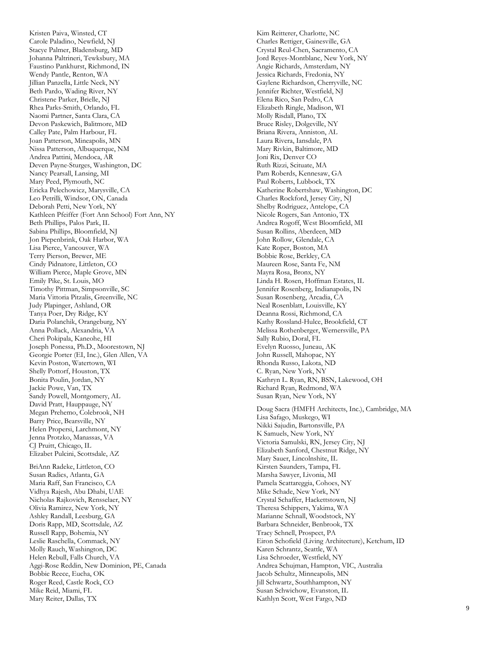Kristen Paiva, Winsted, CT Carole Paladino, Newfield, NJ Stacye Palmer, Bladensburg, MD Johanna Paltrineri, Tewksbury, MA Faustino Pankhurst, Richmond, IN Wendy Pantle, Renton, WA Jillian Panzella, Little Neck, NY Beth Pardo, Wading River, NY Christene Parker, Brielle, NJ Rhea Parks -Smith, Orlando, FL Naomi Partner, Santa Clara, CA Devon Paskewich, Balitmore, MD Calley Pate, Palm Harbour, FL Joan Patterson, Mineapolis, MN Nissa Patterson, Albuquerque, NM Andrea Pattini, Mendoca, AR Deven Payne -Sturges, Washington, DC Nancy Pearsall, Lansing, MI Mary Peed, Plymouth, NC Ericka Pelechowicz, Marysville , CA Leo Petrilli, Windsor, O N, Canada Deborah Petti, New York, NY Kathleen Pfeiffer (Fort Ann School) Fort Ann, NY Beth Phillips, Palos Park, IL Sabina Phillips, Bloomfield, NJ Jon Piepenbrink, Oak Harbor, WA Lisa Pierce, Vancouver, WA Terry Pierson, Brewer, ME Cindy Pidnatore, Littleton, CO William Pierce, Maple Grove, MN Emily Pike, St. Louis, MO Timothy Pittman, Simpsonville, SC Maria Vittoria Pitzalis, Greenville, NC Judy Plapinger, Ashland, OR Tanya Poer, Dry Ridge, KY Daria Polanchik, Orangeburg, NY Anna Pollack, Alexandria, VA Cheri Pokipala, Kaneohe, HI Joseph Ponessa, Ph.D., Moorestown, NJ Georgie Porter (EI, Inc.), Glen Allen, VA Kevin Poston, Watertown, WI Shelly Pottorf, Houston, TX Bonita Poulin, Jordan, NY Jackie Powe, Van, TX Sandy Powell, Montgomery, AL David Pratt, Hauppauge, NY Megan Prehemo, Colebrook, NH Barry Price, Bearsville, NY Helen Propersi, Larchmont, NY Jenna Protzko, Manassas, VA CJ Pruitt, Chicago, IL Elizabet Pulcini, Scottsdale, AZ BriAnn Radeke, Littleton, CO Susan Radics, Atlanta, GA Maria Raff, San Francisco, CA Vidhya Rajesh, Abu Dhabi, UAE Nicholas Rajkovich, Rensselaer, NY Olivia Ramirez, New York, NY Ashley Randall, Leesburg, GA Doris Rapp, MD, Scottsdale, AZ Russell Rapp, Bohemia, NY Leslie Raschella, Commack, NY Molly Rauch, Washington, DC Helen Rebull, Falls Church, VA Aggi -Rose Reddin, New Dominion, PE, Canada Bobbie Reece, Eucha, OK Roger Reed, Castle Rock, CO Mike Reid, Miami, FL Mary Reiter, Dallas, TX

Kim Reitterer, Charlotte, NC Charles Rettiger, Gainesville, GA Crystal Reul -Chen, Sacramento, CA Jord Reyes -Montblanc, New York, NY Angie Richards, Amsterdam, NY Jessica Richards, Fredonia, NY Gaylene Richardson, Cherryville, NC Jennifer Richter, Westfield, NJ Elena Rico, San Pedro, CA Elizabeth Ringle, Madison, WI Molly Risdall, Plano, TX Bruce Risley, Dolgeville, NY Briana Rivera, Anniston, AL Laura Rivera, Iansdale, PA Mary Rivkin, Baltimore, MD Joni Rix, Denver CO Ruth Rizzi, Scituate, MA Pam Roberds, Kennesaw, GA Paul Roberts, Lubbock, TX Katherine Robertshaw, Washington, DC Charles Rockford, Jersey City, NJ Shelby Rodriguez, Antelope, CA Nicole Rogers, San Antonio, TX Andrea Rogoff, West Bloomfield, MI Susan Rollins, Aberdeen, MD John Rollow, Glendale, CA Kate Roper, Boston, MA Bobbie Rose, Berkley, CA Maureen Rose, Santa Fe, NM Mayra Rosa, Bronx, NY Linda H. Rosen, Hoffman Estates, IL Jennifer Rosenberg, Indianapolis, IN Susan Rosenberg, Arcadia, CA Neal Rosenblatt, Louisville, KY Deanna Rossi, Richmond, CA Kathy Rossland -Hulce, Brookfield, CT Melissa Rothenberger, Wernersville, PA Sally Rubio, Doral, FL Evelyn Ruosso, Juneau, AK John Russell, Mahopac, NY Rhonda Russo, Lakota, ND C. Ryan, New York, NY Kathryn L. Ryan, RN, BSN, Lakewood, OH Richard Ryan, Redmond, WA Susan Ryan, New York, NY Doug Sacra (HMFH Architects, Inc.), Cambridge, MA Lisa Safago, Muskego, WI Nikki Sajudin, Bartonsville, PA K Samuels, New York, NY Victoria Samulski, RN, Jersey City, NJ Elizabeth Sanford, Chestnut Ridge, NY

Mary Sauer, Lincolnshite, IL Kirsten Saunders, Tampa, FL Marsha Sawyer, Livonia, MI Pamela Scattareggia, Cohoes, NY Mike Schade, New York, NY Crystal Schaffer, Hackettstown, NJ Theresa Schippers, Yakima, WA Marianne Schnall, Woodstock, NY Barbara Schneider, Benbrook, TX Tracy Schnell, Prospect, PA Eiron Schofield (Living Architecture), Ketchum, ID Karen Schrantz, Seattle, WA Lisa Schroeder, Westfield, NY Andrea Schujman, Hampton, VIC, Australia Jacob Schultz, Minneapolis, MN Jill Schwartz, Southhampton, NY Susan Schwichow, Evanston, IL Kathlyn Scott, West Fargo, ND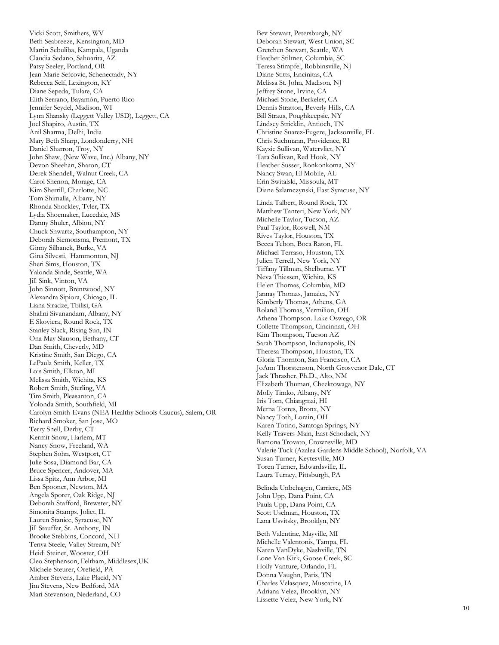Vicki Scott, Smithers, WV Beth Seabreeze, Kensington, MD Martin Sebuliba, Kampala, Uganda Claudia Sedano, Sahuarita, AZ Patsy Seeley, Portland, OR Jean Marie Sefcovic, Schenectady, NY Rebecca Self, Lexington, KY Diane Sepeda, Tulare, CA Elith Serrano, Bayamón, Puerto Rico Jennifer Seydel, Madison, WI Lynn Shansky (Leggett Valley USD), Leggett, CA Joel Shapiro, Austin, TX Anil Sharma, Delhi, India Mary Beth Sharp, Londonderry, NH Daniel Sharron, Troy, NY John Shaw, (New Wave, Inc.) Albany, NY Devon Sheehan, Sharon, CT Derek Shendell, Walnut Creek, CA Carol Shenon, Morage, CA Kim Sherrill, Charlotte, NC Tom Shimalla, Albany, NY Rhonda Shockley, Tyler, TX Lydia Shoemaker, Lucedale, MS Danny Shuler, Albion, NY Chuck Shwartz, Southampton, NY Deborah Siemonsma, Premont, TX Ginny Silhanek, Burke, VA Gina Silvesti, Hammonton, NJ Sheri Sims, Houston, TX Yalonda Sinde, Seattle, WA Jill Sink, Vinton, VA John Sinnott, Brentwood, NY Alexandra Sipiora, Chicago, IL Liana Siradze, Tbilisi, GA Shalini Sivanandam, Albany, NY E Skoviera, Round Rock, TX Stanley Slack, Rising Sun, IN Ona May Slauson, Bethany, CT Dan Smith, Cheverly, MD Kristine Smith, San Diego, CA LePaula Smith, Keller, TX Lois Smith, Elkton, MI Melissa Smith, Wichita, KS Robert Smith, Sterling, VA Tim Smith, Pleasanton, CA Yolonda Smith, Southfield, MI Carolyn Smith-Evans (NEA Healthy Schools Caucus), Salem, OR Richard Smoker, San Jose, MO Terry Snell, Derby, CT Kermit Snow, Harlem, MT Nancy Snow, Freeland, WA Stephen Sohn, Westport, CT Julie Sosa, Diamond Bar, CA Bruce Spencer, Andover, MA Lissa Spitz, Ann Arbor, MI Ben Spooner, Newton, MA Angela Sporer, Oak Ridge, NJ Deborah Stafford, Brewster, NY Simonita Stamps, Joliet, IL Lauren Staniec, Syracuse, NY Jill Stauffer, St. Anthony, IN Brooke Stebbins, Concord, NH Tenya Steele, Valley Stream, NY Heidi Steiner, Wooster, OH Cleo Stephenson, Feltham, Middlesex,UK Michele Steurer, Orefield, PA Amber Stevens, Lake Placid, NY Jim Stevens, New Bedford, MA Mari Stevenson, Nederland, CO

Bev Stewart, Petersburgh, NY Deborah Stewart, West Union, SC Gretchen Stewart, Seattle, WA Heather Stiltner, Columbia, SC Teresa Stimpfel, Robbinsville, NJ Diane Stitts, Encinitas, CA Melissa St. John, Madison, NJ Jeffrey Stone, Irvine, CA Michael Stone, Berkeley, CA Dennis Stratton, Beverly Hills, CA Bill Straus, Poughkeepsie, NY Lindsey Stricklin, Antioch, TN Christine Suarez-Fugere, Jacksonville, FL Chris Suchmann, Providence, RI Kaysie Sullivan, Watervliet, NY Tara Sullivan, Red Hook, NY Heather Susser, Ronkonkoma, NY Nancy Swan, El Mobile, AL Erin Switalski, Missoula, MT Diane Szlamczynski, East Syracuse, NY Linda Talbert, Round Rock, TX Matthew Tanteri, New York, NY Michelle Taylor, Tucson, AZ Paul Taylor, Roswell, NM Rives Taylor, Houston, TX Becca Tebon, Boca Raton, FL Michael Terraso, Houston, TX Julien Terrell, New York, NY Tiffany Tillman, Shelburne, VT Neva Thiessen, Wichita, KS Helen Thomas, Columbia, MD Jannay Thomas, Jamaica, NY Kimberly Thomas, Athens, GA Roland Thomas, Vermilion, OH Athena Thompson. Lake Oswego, OR Collette Thompson, Cincinnati, OH Kim Thompson, Tucson AZ Sarah Thompson, Indianapolis, IN Theresa Thompson, Houston, TX Gloria Thornton, San Francisco, CA JoAnn Thorstenson, North Grosvenor Dale, CT Jack Thrasher, Ph.D., Alto, NM Elizabeth Thuman, Cheektowaga, NY Molly Timko, Albany, NY Iris Tom, Chiangmai, HI Merna Torres, Bronx, NY Nancy Toth, Lorain, OH Karen Totino, Saratoga Springs, NY Kelly Travers-Main, East Schodack, NY Ramona Trovato, Crownsville, MD Valerie Tuck (Azalea Gardens Middle School), Norfolk, VA Susan Turner, Keytesville, MO Toren Turner, Edwardsville, IL Laura Turney, Pittsburgh, PA Belinda Unbehagen, Carriere, MS

John Upp, Dana Point, CA Paula Upp, Dana Point, CA Scott Uselman, Houston, TX Lana Usvitsky, Brooklyn, NY

Beth Valentine, Mayville, MI Michelle Valentonis, Tampa, FL Karen VanDyke, Nashville, TN Lone Van Kirk, Goose Creek, SC Holly Vanture, Orlando, FL Donna Vaughn, Paris, TN Charles Velasquez, Muscatine, IA Adriana Velez, Brooklyn, NY Lissette Velez, New York, NY